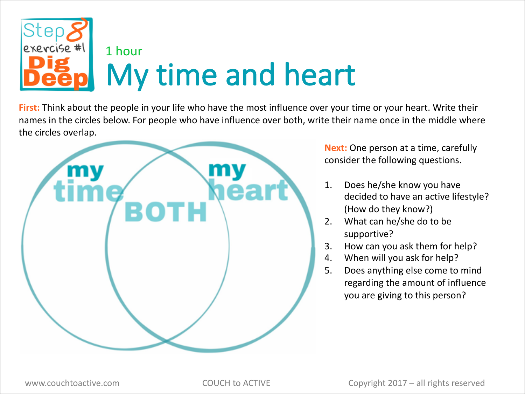

**First:** Think about the people in your life who have the most influence over your time or your heart. Write their names in the circles below. For people who have influence over both, write their name once in the middle where the circles overlap.



**Next:** One person at a time, carefully consider the following questions.

- 1. Does he/she know you have decided to have an active lifestyle? (How do they know?)
- 2. What can he/she do to be supportive?
- 3. How can you ask them for help?
- 4. When will you ask for help?
- 5. Does anything else come to mind regarding the amount of influence you are giving to this person?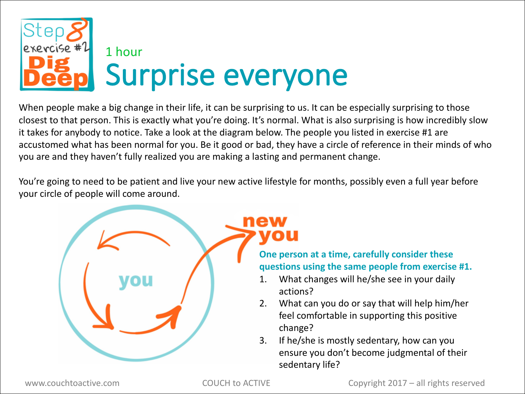

When people make a big change in their life, it can be surprising to us. It can be especially surprising to those closest to that person. This is exactly what you're doing. It's normal. What is also surprising is how incredibly slow it takes for anybody to notice. Take a look at the diagram below. The people you listed in exercise #1 are accustomed what has been normal for you. Be it good or bad, they have a circle of reference in their minds of who you are and they haven't fully realized you are making a lasting and permanent change.

You're going to need to be patient and live your new active lifestyle for months, possibly even a full year before your circle of people will come around.



new

**One person at a time, carefully consider these questions using the same people from exercise #1.** 

- 1. What changes will he/she see in your daily actions?
- 2. What can you do or say that will help him/her feel comfortable in supporting this positive change?
- 3. If he/she is mostly sedentary, how can you ensure you don't become judgmental of their sedentary life?